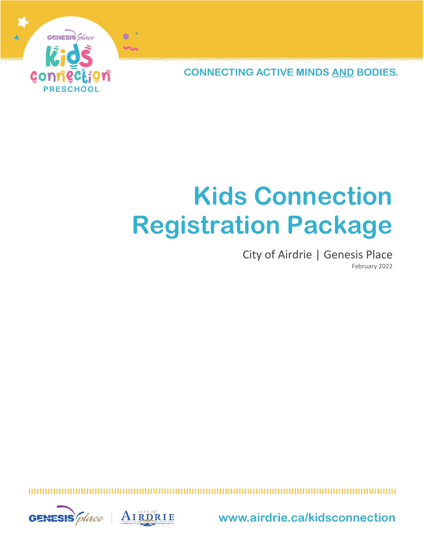

**CONNECTING ACTIVE MINDS AND BODIES.** 

# **Kids Connection Registration Package**

## City of Airdrie | Genesis Place February 2022



www.airdrie.ca/kidsconnection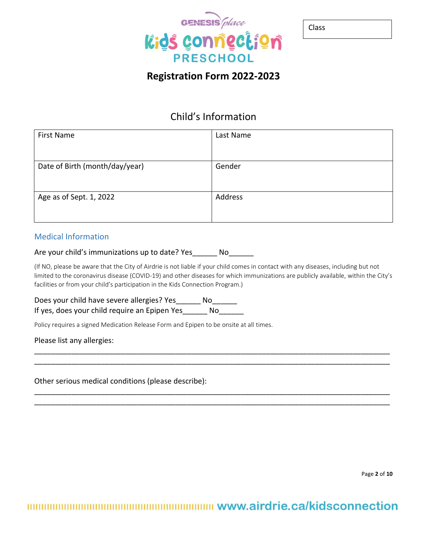

| . .<br>۰.<br>۰.<br>×<br>×<br>I |
|--------------------------------|
|--------------------------------|

# **Registration Form 2022-2023**

## Child's Information

| <b>First Name</b>              | Last Name |
|--------------------------------|-----------|
| Date of Birth (month/day/year) | Gender    |
| Age as of Sept. 1, 2022        | Address   |

#### Medical Information

Are your child's immunizations up to date? Yes\_\_\_\_\_\_\_ No\_\_\_\_\_\_\_

(If NO, please be aware that the City of Airdrie is not liable if your child comes in contact with any diseases, including but not limited to the coronavirus disease (COVID-19) and other diseases for which immunizations are publicly available, within the City's facilities or from your child's participation in the Kids Connection Program.)

\_\_\_\_\_\_\_\_\_\_\_\_\_\_\_\_\_\_\_\_\_\_\_\_\_\_\_\_\_\_\_\_\_\_\_\_\_\_\_\_\_\_\_\_\_\_\_\_\_\_\_\_\_\_\_\_\_\_\_\_\_\_\_\_\_\_\_\_\_\_\_\_\_\_\_\_\_\_\_\_\_\_\_\_\_\_ \_\_\_\_\_\_\_\_\_\_\_\_\_\_\_\_\_\_\_\_\_\_\_\_\_\_\_\_\_\_\_\_\_\_\_\_\_\_\_\_\_\_\_\_\_\_\_\_\_\_\_\_\_\_\_\_\_\_\_\_\_\_\_\_\_\_\_\_\_\_\_\_\_\_\_\_\_\_\_\_\_\_\_\_\_\_

\_\_\_\_\_\_\_\_\_\_\_\_\_\_\_\_\_\_\_\_\_\_\_\_\_\_\_\_\_\_\_\_\_\_\_\_\_\_\_\_\_\_\_\_\_\_\_\_\_\_\_\_\_\_\_\_\_\_\_\_\_\_\_\_\_\_\_\_\_\_\_\_\_\_\_\_\_\_\_\_\_\_\_\_\_\_ \_\_\_\_\_\_\_\_\_\_\_\_\_\_\_\_\_\_\_\_\_\_\_\_\_\_\_\_\_\_\_\_\_\_\_\_\_\_\_\_\_\_\_\_\_\_\_\_\_\_\_\_\_\_\_\_\_\_\_\_\_\_\_\_\_\_\_\_\_\_\_\_\_\_\_\_\_\_\_\_\_\_\_\_\_\_

Does your child have severe allergies? Yes\_\_\_\_\_\_ No\_\_\_\_\_\_ If yes, does your child require an Epipen Yes\_\_\_\_\_\_ No\_\_\_\_\_\_

Policy requires a signed Medication Release Form and Epipen to be onsite at all times.

Please list any allergies:

Other serious medical conditions (please describe):

Page **2** of **10**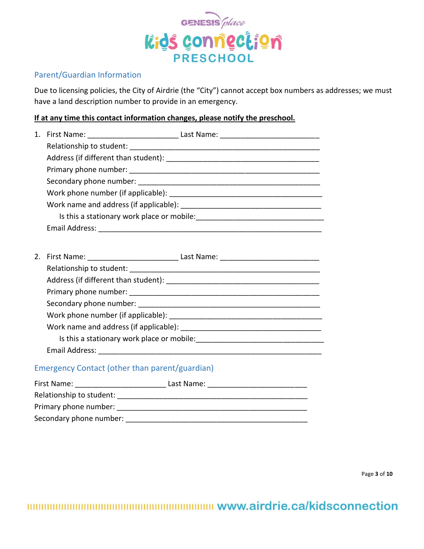

## Parent/Guardian Information

Due to licensing policies, the City of Airdrie (the "City") cannot accept box numbers as addresses; we must have a land description number to provide in an emergency.

#### **If at any time this contact information changes, please notify the preschool.**

| Is this a stationary work place or mobile: |  |
|--------------------------------------------|--|
| Email Address:                             |  |

| 2. |                                            |  |
|----|--------------------------------------------|--|
|    | Relationship to student:                   |  |
|    |                                            |  |
|    |                                            |  |
|    |                                            |  |
|    |                                            |  |
|    |                                            |  |
|    | Is this a stationary work place or mobile: |  |
|    | Email Address:                             |  |

## Emergency Contact (other than parent/guardian)

| First Name:              | Last Name: |
|--------------------------|------------|
| Relationship to student: |            |
| Primary phone number:    |            |
| Secondary phone number:  |            |

Page **3** of **10**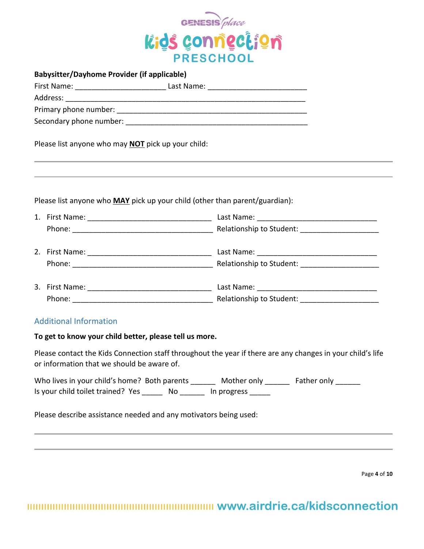

| <b>Babysitter/Dayhome Provider (if applicable)</b>                                 |                                                                                   |  |
|------------------------------------------------------------------------------------|-----------------------------------------------------------------------------------|--|
|                                                                                    |                                                                                   |  |
|                                                                                    |                                                                                   |  |
|                                                                                    |                                                                                   |  |
|                                                                                    |                                                                                   |  |
| Please list anyone who may <b>NOT</b> pick up your child:                          | ,我们也不能会有什么。""我们的人,我们也不能会有什么?""我们的人,我们也不能会有什么?""我们的人,我们也不能会有什么?""我们的人,我们也不能会有什么?"" |  |
| Please list anyone who <b>MAY</b> pick up your child (other than parent/guardian): |                                                                                   |  |
|                                                                                    |                                                                                   |  |
|                                                                                    |                                                                                   |  |
|                                                                                    |                                                                                   |  |
|                                                                                    |                                                                                   |  |
|                                                                                    |                                                                                   |  |

## Additional Information

#### **To get to know your child better, please tell us more.**

Please contact the Kids Connection staff throughout the year if there are any changes in your child's life or information that we should be aware of.

| Who lives in your child's home? Both parents |    | Mother only | Father only |
|----------------------------------------------|----|-------------|-------------|
| Is your child toilet trained? Yes            | Νo | In progress |             |

Please describe assistance needed and any motivators being used:

Page **4** of **10**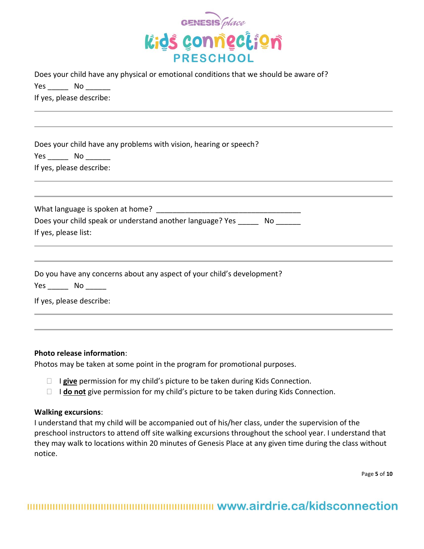

|      | Does your child have any physical or emotional conditions that we should be aware of? |
|------|---------------------------------------------------------------------------------------|
| Yes. | No.                                                                                   |
|      | If yes, please describe:                                                              |

|      | Does your child have any problems with vision, hearing or speech? |
|------|-------------------------------------------------------------------|
| Yes. | No.                                                               |
|      | If yes, please describe:                                          |

| What language is spoken at home?                          |    |
|-----------------------------------------------------------|----|
| Does your child speak or understand another language? Yes | NΟ |
| If yes, please list:                                      |    |

|  | Do you have any concerns about any aspect of your child's development? |
|--|------------------------------------------------------------------------|
|--|------------------------------------------------------------------------|

Yes \_\_\_\_\_\_ No \_\_\_\_\_

If yes, please describe:

#### **Photo release information**:

Photos may be taken at some point in the program for promotional purposes.

- □ **I give** permission for my child's picture to be taken during Kids Connection.
- □ **I do not** give permission for my child's picture to be taken during Kids Connection.

#### **Walking excursions**:

I understand that my child will be accompanied out of his/her class, under the supervision of the preschool instructors to attend off site walking excursions throughout the school year. I understand that they may walk to locations within 20 minutes of Genesis Place at any given time during the class without notice.

Page **5** of **10**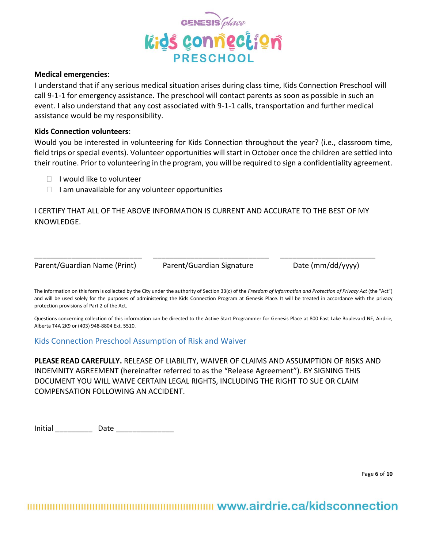

#### **Medical emergencies**:

I understand that if any serious medical situation arises during class time, Kids Connection Preschool will call 9-1-1 for emergency assistance. The preschool will contact parents as soon as possible in such an event. I also understand that any cost associated with 9-1-1 calls, transportation and further medical assistance would be my responsibility.

#### **Kids Connection volunteers**:

Would you be interested in volunteering for Kids Connection throughout the year? (i.e., classroom time, field trips or special events). Volunteer opportunities will start in October once the children are settled into their routine. Prior to volunteering in the program, you will be required to sign a confidentiality agreement.

- $\Box$  I would like to volunteer
- $\Box$  I am unavailable for any volunteer opportunities

I CERTIFY THAT ALL OF THE ABOVE INFORMATION IS CURRENT AND ACCURATE TO THE BEST OF MY KNOWLEDGE.

Parent/Guardian Name (Print) Parent/Guardian Signature Date (mm/dd/yyyy)

\_\_\_\_\_\_\_\_\_\_\_\_\_\_\_\_\_\_\_\_\_\_\_\_\_\_ \_\_\_\_\_\_\_\_\_\_\_\_\_\_\_\_\_\_\_\_\_\_\_\_\_\_\_\_ \_\_\_\_\_\_\_\_\_\_\_\_\_\_\_\_\_\_\_\_\_\_\_

The information on this form is collected by the City under the authority of Section 33(c) of the *Freedom of Information and Protection of Privacy Act* (the "Act") and will be used solely for the purposes of administering the Kids Connection Program at Genesis Place. It will be treated in accordance with the privacy protection provisions of Part 2 of the Act.

Questions concerning collection of this information can be directed to the Active Start Programmer for Genesis Place at 800 East Lake Boulevard NE, Airdrie, Alberta T4A 2K9 or (403) 948-8804 Ext. 5510.

Kids Connection Preschool Assumption of Risk and Waiver

**PLEASE READ CAREFULLY.** RELEASE OF LIABILITY, WAIVER OF CLAIMS AND ASSUMPTION OF RISKS AND INDEMNITY AGREEMENT (hereinafter referred to as the "Release Agreement"). BY SIGNING THIS DOCUMENT YOU WILL WAIVE CERTAIN LEGAL RIGHTS, INCLUDING THE RIGHT TO SUE OR CLAIM COMPENSATION FOLLOWING AN ACCIDENT.

Initial Date Date

Page **6** of **10**

mmmmmmmmmmmmmmmmmmmmmmm www.airdrie.ca/kidsconnection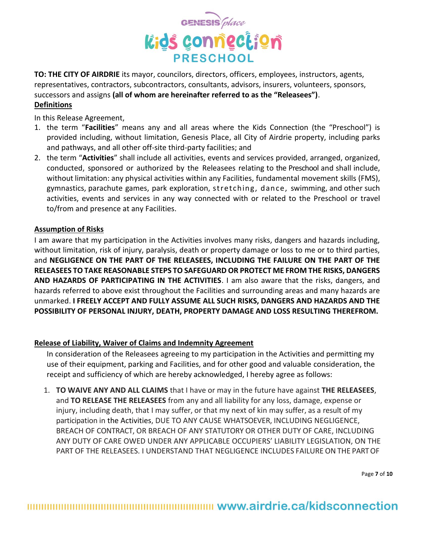

**TO: THE CITY OF AIRDRIE** its mayor, councilors, directors, officers, employees, instructors, agents, representatives, contractors, subcontractors, consultants, advisors, insurers, volunteers, sponsors, successors and assigns **(all of whom are hereinafter referred to as the "Releasees")**. **Definitions**

In this Release Agreement,

- 1. the term "**Facilities**" means any and all areas where the Kids Connection (the "Preschool") is provided including, without limitation, Genesis Place, all City of Airdrie property, including parks and pathways, and all other off-site third-party facilities; and
- 2. the term "**Activities**" shall include all activities, events and services provided, arranged, organized, conducted, sponsored or authorized by the Releasees relating to the Preschool and shall include, without limitation: any physical activities within any Facilities, fundamental movement skills (FMS), gymnastics, parachute games, park exploration, stretching, dance, swimming, and other such activities, events and services in any way connected with or related to the Preschool or travel to/from and presence at any Facilities.

#### **Assumption of Risks**

I am aware that my participation in the Activities involves many risks, dangers and hazards including, without limitation, risk of injury, paralysis, death or property damage or loss to me or to third parties, and **NEGLIGENCE ON THE PART OF THE RELEASEES, INCLUDING THE FAILURE ON THE PART OF THE RELEASEES TO TAKE REASONABLE STEPS TO SAFEGUARD OR PROTECT ME FROM THE RISKS, DANGERS AND HAZARDS OF PARTICIPATING IN THE ACTIVITIES**. I am also aware that the risks, dangers, and hazards referred to above exist throughout the Facilities and surrounding areas and many hazards are unmarked. **I FREELY ACCEPT AND FULLY ASSUME ALL SUCH RISKS, DANGERS AND HAZARDS AND THE POSSIBILITY OF PERSONAL INJURY, DEATH, PROPERTY DAMAGE AND LOSS RESULTING THEREFROM.**

## **Release of Liability, Waiver of Claims and Indemnity Agreement**

In consideration of the Releasees agreeing to my participation in the Activities and permitting my use of their equipment, parking and Facilities, and for other good and valuable consideration, the receipt and sufficiency of which are hereby acknowledged, I hereby agree as follows:

1. **TO WAIVE ANY AND ALL CLAIMS** that I have or may in the future have against **THE RELEASEES**, and **TO RELEASE THE RELEASEES** from any and all liability for any loss, damage, expense or injury, including death, that I may suffer, or that my next of kin may suffer, as a result of my participation in the Activities, DUE TO ANY CAUSE WHATSOEVER, INCLUDING NEGLIGENCE, BREACH OF CONTRACT, OR BREACH OF ANY STATUTORY OR OTHER DUTY OF CARE, INCLUDING ANY DUTY OF CARE OWED UNDER ANY APPLICABLE OCCUPIERS' LIABILITY LEGISLATION, ON THE PART OF THE RELEASEES. I UNDERSTAND THAT NEGLIGENCE INCLUDES FAILURE ON THE PARTOF

Page **7** of **10**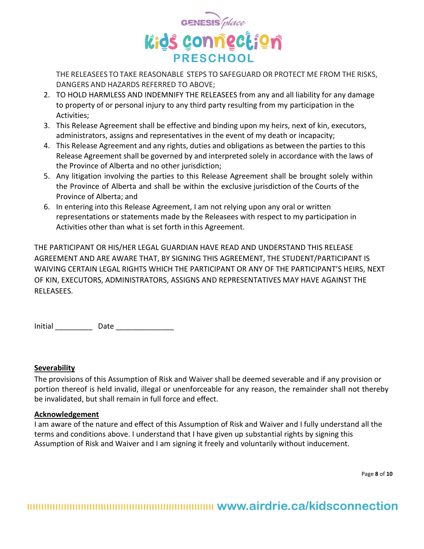

THE RELEASEES TOTAKE REASONABLE STEPS TO SAFEGUARD OR PROTECT ME FROM THE RISKS, DANGERS AND HAZARDS REFERRED TO ABOVE;

- 2. TO HOLD HARMLESS AND INDEMNIFY THE RELEASEES from any and all liability for any damage to property of or personal injury to any third party resulting from my participation in the Activities;
- 3. This Release Agreement shall be effective and binding upon my heirs, next of kin, executors, administrators, assigns and representatives in the event of my death or incapacity;
- 4. This Release Agreement and any rights, duties and obligations as between the parties to this Release Agreement shall be governed by and interpreted solely in accordance with the laws of the Province of Alberta and no other jurisdiction;
- 5. Any litigation involving the parties to this Release Agreement shall be brought solely within the Province of Alberta and shall be within the exclusive jurisdiction of the Courts of the Province of Alberta; and
- 6. In entering into this Release Agreement, I am not relying upon any oral or written representations or statements made by the Releasees with respect to my participation in Activities other than what is set forth in this Agreement.

THE PARTICIPANT OR HIS/HER LEGAL GUARDIAN HAVE READ AND UNDERSTAND THIS RELEASE AGREEMENT AND ARE AWARE THAT, BY SIGNING THIS AGREEMENT, THE STUDENT/PARTICIPANT IS WAIVING CERTAIN LEGAL RIGHTS WHICH THE PARTICIPANT OR ANY OF THE PARTICIPANT'S HEIRS, NEXT OF KIN, EXECUTORS, ADMINISTRATORS, ASSIGNS AND REPRESENTATIVES MAY HAVE AGAINST THE RELEASEES.

Initial \_\_\_\_\_\_\_\_\_ Date \_\_\_\_\_\_\_\_\_\_\_\_\_\_

#### **Severability**

The provisions of this Assumption of Risk and Waiver shall be deemed severable and if any provision or portion thereof is held invalid, illegal or unenforceable for any reason, the remainder shall not thereby be invalidated, but shall remain in full force and effect.

#### **Acknowledgement**

I am aware of the nature and effect of this Assumption of Risk and Waiver and I fully understand all the terms and conditions above. I understand that I have given up substantial rights by signing this Assumption of Risk and Waiver and I am signing it freely and voluntarily without inducement.

Page **8** of **10**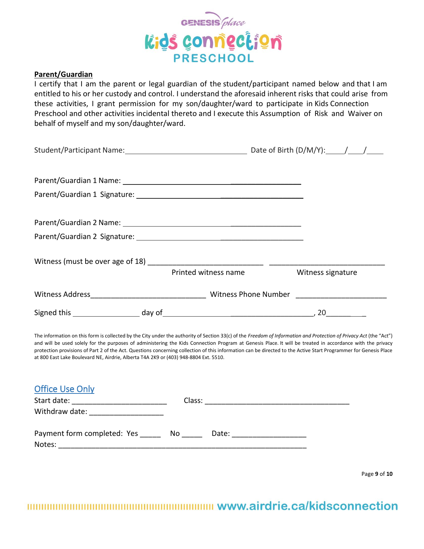

#### **Parent/Guardian**

I certify that I am the parent or legal guardian of the student/participant named below and that I am entitled to his or her custody and control. I understand the aforesaid inherent risks that could arise from these activities, I grant permission for my son/daughter/ward to participate in Kids Connection Preschool and other activities incidental thereto and I execute this Assumption of Risk and Waiver on behalf of myself and my son/daughter/ward.

|  | Printed witness name | Witness signature |  |
|--|----------------------|-------------------|--|
|  |                      |                   |  |
|  |                      |                   |  |

The information on this form is collected by the City under the authority of Section 33(c) of the *Freedom of Information and Protection of Privacy Act* (the "Act") and will be used solely for the purposes of administering the Kids Connection Program at Genesis Place. It will be treated in accordance with the privacy protection provisions of Part 2 of the Act. Questions concerning collection of this information can be directed to the Active Start Programmer for Genesis Place at 800 East Lake Boulevard NE, Airdrie, Alberta T4A 2K9 or (403) 948-8804 Ext. 5510.

| Withdraw date: ________________          |                             |  |
|------------------------------------------|-----------------------------|--|
| Payment form completed: Yes No<br>Notes: | Date: _____________________ |  |

Page **9** of **10**